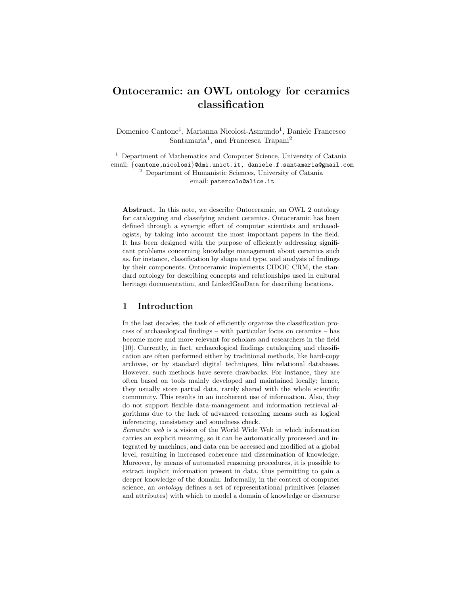# Ontoceramic: an OWL ontology for ceramics classification

Domenico Cantone<sup>1</sup>, Marianna Nicolosi-Asmundo<sup>1</sup>, Daniele Francesco Santamaria<sup>1</sup>, and Francesca Trapani<sup>2</sup>

<sup>1</sup> Department of Mathematics and Computer Science, University of Catania email: {cantone,nicolosi}@dmi.unict.it, daniele.f.santamaria@gmail.com <sup>2</sup> Department of Humanistic Sciences, University of Catania email: patercolo@alice.it

Abstract. In this note, we describe Ontoceramic, an OWL 2 ontology for cataloguing and classifying ancient ceramics. Ontoceramic has been defined through a synergic effort of computer scientists and archaeologists, by taking into account the most important papers in the field. It has been designed with the purpose of efficiently addressing significant problems concerning knowledge management about ceramics such as, for instance, classification by shape and type, and analysis of findings by their components. Ontoceramic implements CIDOC CRM, the standard ontology for describing concepts and relationships used in cultural heritage documentation, and LinkedGeoData for describing locations.

### 1 Introduction

In the last decades, the task of efficiently organize the classification process of archaeological findings – with particular focus on ceramics – has become more and more relevant for scholars and researchers in the field [10]. Currently, in fact, archaeological findings cataloguing and classification are often performed either by traditional methods, like hard-copy archives, or by standard digital techniques, like relational databases. However, such methods have severe drawbacks. For instance, they are often based on tools mainly developed and maintained locally; hence, they usually store partial data, rarely shared with the whole scientific community. This results in an incoherent use of information. Also, they do not support flexible data-management and information retrieval algorithms due to the lack of advanced reasoning means such as logical inferencing, consistency and soundness check.

Semantic web is a vision of the World Wide Web in which information carries an explicit meaning, so it can be automatically processed and integrated by machines, and data can be accessed and modified at a global level, resulting in increased coherence and dissemination of knowledge. Moreover, by means of automated reasoning procedures, it is possible to extract implicit information present in data, thus permitting to gain a deeper knowledge of the domain. Informally, in the context of computer science, an ontology defines a set of representational primitives (classes and attributes) with which to model a domain of knowledge or discourse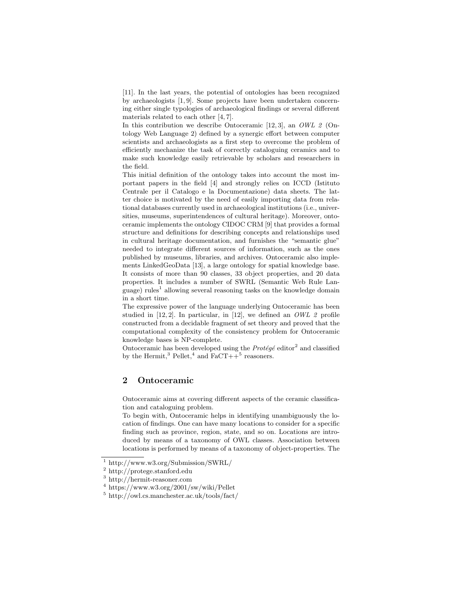[11]. In the last years, the potential of ontologies has been recognized by archaeologists [1, 9]. Some projects have been undertaken concerning either single typologies of archaeological findings or several different materials related to each other [4, 7].

In this contribution we describe Ontoceramic [12, 3], an *OWL 2* (Ontology Web Language 2) defined by a synergic effort between computer scientists and archaeologists as a first step to overcome the problem of efficiently mechanize the task of correctly cataloguing ceramics and to make such knowledge easily retrievable by scholars and researchers in the field.

This initial definition of the ontology takes into account the most important papers in the field [4] and strongly relies on ICCD (Istituto Centrale per il Catalogo e la Documentazione) data sheets. The latter choice is motivated by the need of easily importing data from relational databases currently used in archaeological institutions (i.e., universities, museums, superintendences of cultural heritage). Moreover, ontoceramic implements the ontology CIDOC CRM [9] that provides a formal structure and definitions for describing concepts and relationships used in cultural heritage documentation, and furnishes the "semantic glue" needed to integrate different sources of information, such as the ones published by museums, libraries, and archives. Ontoceramic also implements LinkedGeoData [13], a large ontology for spatial knowledge base. It consists of more than 90 classes, 33 object properties, and 20 data properties. It includes a number of SWRL (Semantic Web Rule Language) rules<sup>1</sup> allowing several reasoning tasks on the knowledge domain in a short time.

The expressive power of the language underlying Ontoceramic has been studied in [12, 2]. In particular, in [12], we defined an *OWL 2* profile constructed from a decidable fragment of set theory and proved that the computational complexity of the consistency problem for Ontoceramic knowledge bases is NP-complete.

Ontoceramic has been developed using the  $Prot\acute{e}g\acute{e}$  editor<sup>2</sup> and classified by the Hermit,<sup>3</sup> Pellet,<sup>4</sup> and  $\text{FaCT++}^5$  reasoners.

# 2 Ontoceramic

Ontoceramic aims at covering different aspects of the ceramic classification and cataloguing problem.

To begin with, Ontoceramic helps in identifying unambiguously the location of findings. One can have many locations to consider for a specific finding such as province, region, state, and so on. Locations are introduced by means of a taxonomy of OWL classes. Association between locations is performed by means of a taxonomy of object-properties. The

<sup>1</sup> http://www.w3.org/Submission/SWRL/

<sup>2</sup> http://protege.stanford.edu

<sup>3</sup> http://hermit-reasoner.com

<sup>4</sup> https://www.w3.org/2001/sw/wiki/Pellet

<sup>5</sup> http://owl.cs.manchester.ac.uk/tools/fact/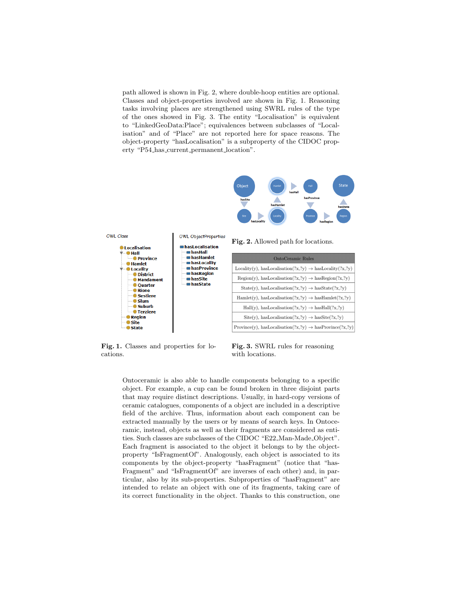path allowed is shown in Fig. 2, where double-hoop entities are optional. Classes and object-properties involved are shown in Fig. 1. Reasoning tasks involving places are strengthened using SWRL rules of the type of the ones showed in Fig. 3. The entity "Localisation" is equivalent to "LinkedGeoData:Place"; equivalences between subclasses of "Localisation" and of "Place" are not reported here for space reasons. The object-property "hasLocalisation" is a subproperty of the CIDOC property "P54 has current permanent location".





Fig. 1. Classes and properties for locations.

Fig. 2. Allowed path for locations.

| <b>OntoCeramic Rules</b>                                                         |
|----------------------------------------------------------------------------------|
| $Locality(y)$ , has $Localisation(?x, ?y) \rightarrow hasLocality(?x, ?y)$       |
| $Region(y), hasLocalisation(?x,?y) \rightarrow hasRegion(?x,?y)$                 |
| $State(y)$ , hasLocalisation $(?x, ?y) \rightarrow hasState(?x, ?y)$             |
| $\text{Hamlet}(y)$ , hasLocalisation $(?x, ?y) \rightarrow$ hasHamlet $(?x, ?y)$ |
| $\text{Hall}(y)$ , hasLocalisation $(?x, ?y) \rightarrow$ hasHall $(?x, ?y)$     |
| $Site(y)$ , hasLocalisation $(?x, ?y) \rightarrow hasSite(?x, ?y)$               |
| Province(y), hasLocalisation(?x,?y) $\rightarrow$ hasProvince(?x,?y)             |

Fig. 3. SWRL rules for reasoning with locations.

Ontoceramic is also able to handle components belonging to a specific object. For example, a cup can be found broken in three disjoint parts that may require distinct descriptions. Usually, in hard-copy versions of ceramic catalogues, components of a object are included in a descriptive field of the archive. Thus, information about each component can be extracted manually by the users or by means of search keys. In Ontoceramic, instead, objects as well as their fragments are considered as entities. Such classes are subclasses of the CIDOC "E22 Man-Made Object". Each fragment is associated to the object it belongs to by the objectproperty "IsFragmentOf". Analogously, each object is associated to its components by the object-property "hasFragment" (notice that "has-Fragment" and "IsFragmentOf" are inverses of each other) and, in particular, also by its sub-properties. Subproperties of "hasFragment" are intended to relate an object with one of its fragments, taking care of its correct functionality in the object. Thanks to this construction, one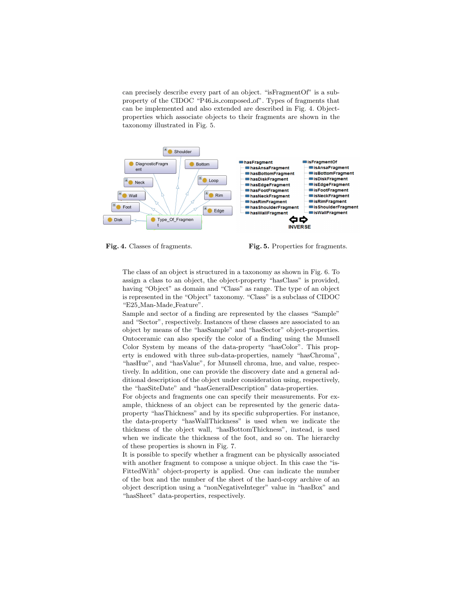can precisely describe every part of an object. "isFragmentOf" is a subproperty of the CIDOC "P46 is composed of". Types of fragments that can be implemented and also extended are described in Fig. 4. Objectproperties which associate objects to their fragments are shown in the taxonomy illustrated in Fig. 5.



Fig. 4. Classes of fragments. Fig. 5. Properties for fragments.

The class of an object is structured in a taxonomy as shown in Fig. 6. To assign a class to an object, the object-property "hasClass" is provided, having "Object" as domain and "Class" as range. The type of an object is represented in the "Object" taxonomy. "Class" is a subclass of CIDOC "E25 Man-Made Feature".

Sample and sector of a finding are represented by the classes "Sample" and "Sector", respectively. Instances of these classes are associated to an object by means of the "hasSample" and "hasSector" object-properties. Ontoceramic can also specify the color of a finding using the Munsell Color System by means of the data-property "hasColor". This property is endowed with three sub-data-properties, namely "hasChroma", "hasHue", and "hasValue", for Munsell chroma, hue, and value, respectively. In addition, one can provide the discovery date and a general additional description of the object under consideration using, respectively, the "hasSiteDate" and "hasGeneralDescription" data-properties.

For objects and fragments one can specify their measurements. For example, thickness of an object can be represented by the generic dataproperty "hasThickness" and by its specific subproperties. For instance, the data-property "hasWallThickness" is used when we indicate the thickness of the object wall, "hasBottomThickness", instead, is used when we indicate the thickness of the foot, and so on. The hierarchy of these properties is shown in Fig. 7.

It is possible to specify whether a fragment can be physically associated with another fragment to compose a unique object. In this case the "is-FittedWith" object-property is applied. One can indicate the number of the box and the number of the sheet of the hard-copy archive of an object description using a "nonNegativeInteger" value in "hasBox" and "hasSheet" data-properties, respectively.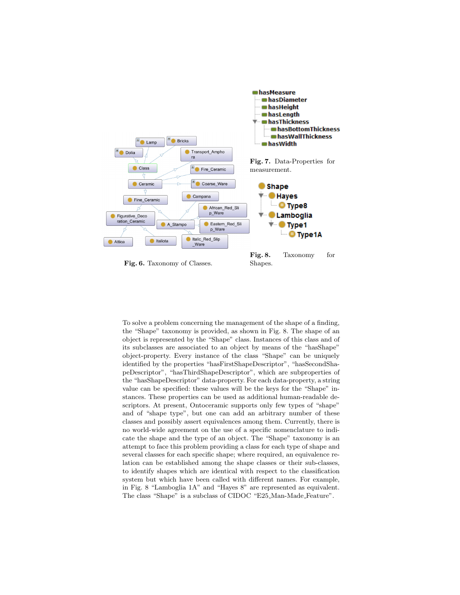

To solve a problem concerning the management of the shape of a finding, the "Shape" taxonomy is provided, as shown in Fig. 8. The shape of an object is represented by the "Shape" class. Instances of this class and of its subclasses are associated to an object by means of the "hasShape" object-property. Every instance of the class "Shape" can be uniquely identified by the properties "hasFirstShapeDescriptor", "hasSecondShapeDescriptor", "hasThirdShapeDescriptor", which are subproperties of the "hasShapeDescriptor" data-property. For each data-property, a string value can be specified: these values will be the keys for the "Shape" instances. These properties can be used as additional human-readable descriptors. At present, Ontoceramic supports only few types of "shape" and of "shape type", but one can add an arbitrary number of these classes and possibly assert equivalences among them. Currently, there is no world-wide agreement on the use of a specific nomenclature to indicate the shape and the type of an object. The "Shape" taxonomy is an attempt to face this problem providing a class for each type of shape and several classes for each specific shape; where required, an equivalence relation can be established among the shape classes or their sub-classes, to identify shapes which are identical with respect to the classification system but which have been called with different names. For example, in Fig. 8 "Lamboglia 1A" and "Hayes 8" are represented as equivalent. The class "Shape" is a subclass of CIDOC "E25 Man-Made Feature".